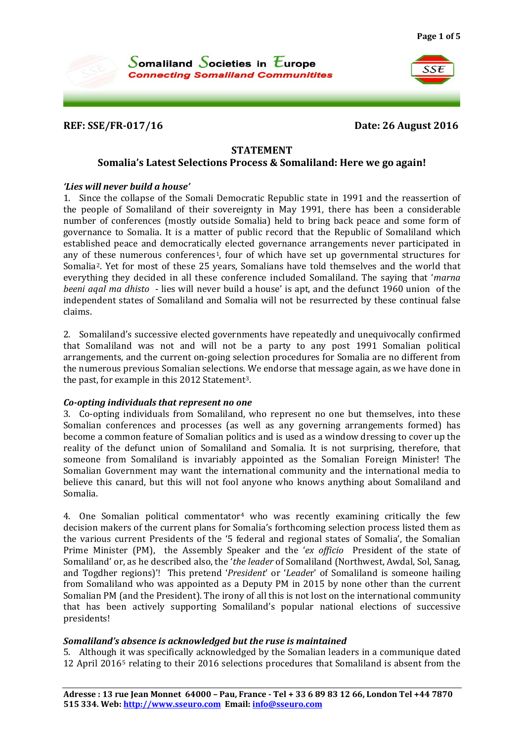SSE



**REF: SSE/FR-017/16 Date: 26 August 2016**

#### **STATEMENT**

### **Somalia's Latest Selections Process & Somaliland: Here we go again!**

#### *'Lies will never build a house'*

1. Since the collapse of the Somali Democratic Republic state in 1991 and the reassertion of the people of Somaliland of their sovereignty in May 1991, there has been a considerable number of conferences (mostly outside Somalia) held to bring back peace and some form of governance to Somalia. It is a matter of public record that the Republic of Somaliland which established peace and democratically elected governance arrangements never participated in any of [th](#page-3-1)ese numerous conferences<sup>[1](#page-3-0)</sup>, four of which have set up governmental structures for Somalia2. Yet for most of these 25 years, Somalians have told themselves and the world that everything they decided in all these conference included Somaliland. The saying that '*marna beeni aqal ma dhisto* - lies will never build a house' is apt, and the defunct 1960 union of the independent states of Somaliland and Somalia will not be resurrected by these continual false claims.

2. Somaliland's successive elected governments have repeatedly and unequivocally confirmed that Somaliland was not and will not be a party to any post 1991 Somalian political arrangements, and the current on-going selection procedures for Somalia are no different from the numerous previous Somalian selections. We endorse that message again, as we have done in the past, for example in this 2012 Statement[3](#page-3-2).

#### *Co-opting individuals that represent no one*

3. Co-opting individuals from Somaliland, who represent no one but themselves, into these Somalian conferences and processes (as well as any governing arrangements formed) has become a common feature of Somalian politics and is used as a window dressing to cover up the reality of the defunct union of Somaliland and Somalia. It is not surprising, therefore, that someone from Somaliland is invariably appointed as the Somalian Foreign Minister! The Somalian Government may want the international community and the international media to believe this canard, but this will not fool anyone who knows anything about Somaliland and Somalia.

[4](#page-3-3). One Somalian political commentator<sup>4</sup> who was recently examining critically the few decision makers of the current plans for Somalia's forthcoming selection process listed them as the various current Presidents of the '5 federal and regional states of Somalia', the Somalian Prime Minister (PM), the Assembly Speaker and the '*ex officio* President of the state of Somaliland' or, as he described also, the '*the leader* of Somaliland (Northwest, Awdal, Sol, Sanag, and Togdher regions)'! This pretend '*President*' or '*Leade*r' of Somaliland is someone hailing from Somaliland who was appointed as a Deputy PM in 2015 by none other than the current Somalian PM (and the President). The irony of all this is not lost on the international community that has been actively supporting Somaliland's popular national elections of successive presidents!

## *Somaliland's absence is acknowledged but the ruse is maintained*

5. Although it was specifically acknowledged by the Somalian leaders in a communique dated 12 April 2016[5](#page-3-4) relating to their 2016 selections procedures that Somaliland is absent from the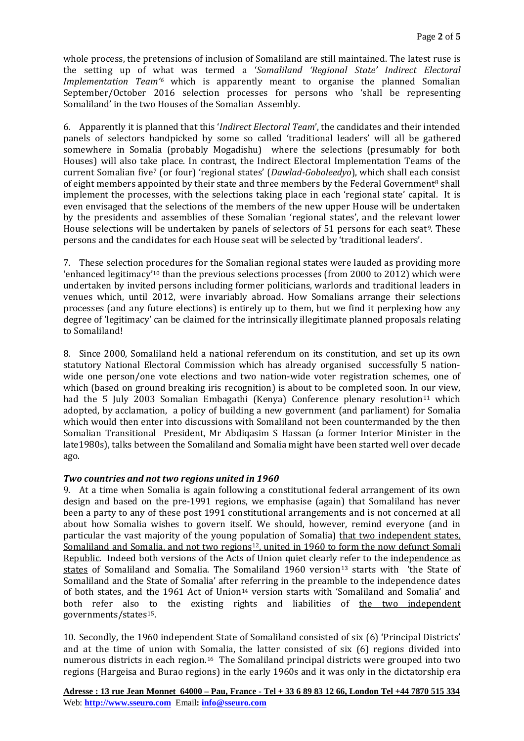whole process, the pretensions of inclusion of Somaliland are still maintained. The latest ruse is the setting up of what was termed a '*Somaliland 'Regional State' Indirect Electoral Implementation Team'[6](#page-4-0)* which is apparently meant to organise the planned Somalian September/October 2016 selection processes for persons who 'shall be representing Somaliland' in the two Houses of the Somalian Assembly.

6. Apparently it is planned that this '*Indirect Electoral Team*', the candidates and their intended panels of selectors handpicked by some so called 'traditional leaders' will all be gathered somewhere in Somalia (probably Mogadishu) where the selections (presumably for both Houses) will also take place. In contrast, the Indirect Electoral Implementation Teams of the current Somalian fiv[e7](#page-4-1) (or four) 'regional states' (*Dawlad-Goboleedyo*), which shall each consist of eight members appointed by their state and three members by the Federal Government<sup>8</sup> shall implement the processes, with the selections taking place in each 'regional state' capital. It is even envisaged that the selections of the members of the new upper House will be undertaken by the presidents and assemblies of these Somalian 'regional states', and the relevant lower House selections will be undertaken by panels of selectors of 51 persons for each seat<sup>[9](#page-4-3)</sup>. These persons and the candidates for each House seat will be selected by 'traditional leaders'.

7. These selection p[ro](#page-4-4)cedures for the Somalian regional states were lauded as providing more 'enhanced legitimacy'10 than the previous selections processes (from 2000 to 2012) which were undertaken by invited persons including former politicians, warlords and traditional leaders in venues which, until 2012, were invariably abroad. How Somalians arrange their selections processes (and any future elections) is entirely up to them, but we find it perplexing how any degree of 'legitimacy' can be claimed for the intrinsically illegitimate planned proposals relating to Somaliland!

8. Since 2000, Somaliland held a national referendum on its constitution, and set up its own statutory National Electoral Commission which has already organised successfully 5 nationwide one person/one vote elections and two nation-wide voter registration schemes, one of which (based on ground breaking iris recognition) is about to be completed soon. In our view, had the 5 July 2003 Somalian Embagathi (Kenya) Conference plenary resolution<sup>[11](#page-4-5)</sup> which adopted, by acclamation, a policy of building a new government (and parliament) for Somalia which would then enter into discussions with Somaliland not been countermanded by the then Somalian Transitional President, Mr Abdiqasim S Hassan (a former Interior Minister in the late1980s), talks between the Somaliland and Somalia might have been started well over decade ago.

## *Two countries and not two regions united in 1960*

9. At a time when Somalia is again following a constitutional federal arrangement of its own design and based on the pre-1991 regions, we emphasise (again) that Somaliland has never been a party to any of these post 1991 constitutional arrangements and is not concerned at all about how Somalia wishes to govern itself. We should, however, remind everyone (and in particular the vast majority of the young population of Somalia) that two independent states, Somaliland and Somalia, and not two regions<sup>[12](#page-4-6)</sup>, united in 1960 to form the now defunct Somali Republic. Indeed both versions of the Acts of Union quiet clearly refer to the independence as states of Somaliland and Somalia. The Somaliland 1960 version<sup>[13](#page-4-7)</sup> starts with 'the State of Somaliland and the State of Somalia' after referring in the preamble to the independence dates of both states, and the 1961 Act of Union<sup>[14](#page-4-8)</sup> version starts with 'Somaliland and Somalia' and both refer also to the existing rights and liabilities of the two independent governments/states[15](#page-4-9).

10. Secondly, the 1960 independent State of Somaliland consisted of six (6) 'Principal Districts' and at the time of union with Somalia, the latter consisted of six (6) regions divided into numerous districts in each region.[16](#page-4-10) The Somaliland principal districts were grouped into two regions (Hargeisa and Burao regions) in the early 1960s and it was only in the dictatorship era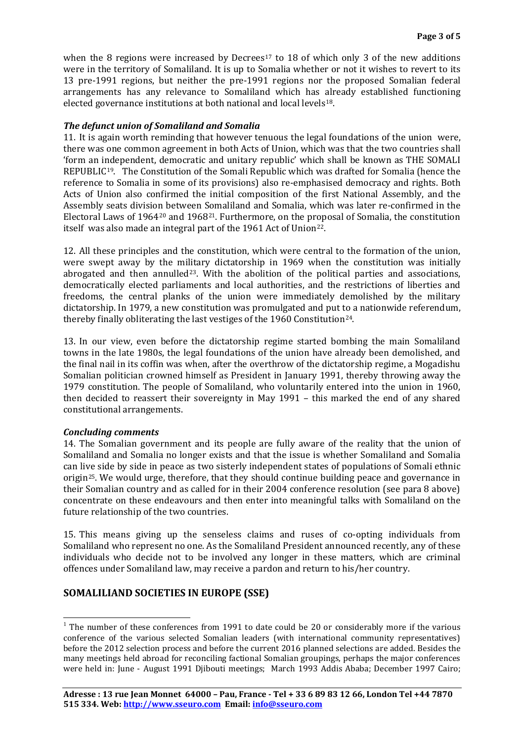when the 8 regions were increased by Decrees<sup>[17](#page-4-11)</sup> to 18 of which only 3 of the new additions were in the territory of Somaliland. It is up to Somalia whether or not it wishes to revert to its 13 pre-1991 regions, but neither the pre-1991 regions nor the proposed Somalian federal arrangements has any relevance to Somaliland which has already established functioning elected governance institutions at both national and local levels<sup>18</sup>.

## *The defunct union of Somaliland and Somalia*

11. It is again worth reminding that however tenuous the legal foundations of the union were, there was one common agreement in both Acts of Union, which was that the two countries shall 'form an independent, democratic and unitary republic' which shall be known as THE SOMALI REPUBLIC<sup>19</sup>. The Constitution of the Somali Republic which was drafted for Somalia (hence the reference to Somalia in some of its provisions) also re-emphasised democracy and rights. Both Acts of Union also confirmed the initial composition of the first National Assembly, and the Assembly seats division between Somaliland and Somalia, which was later re-confirmed in the Electoral Laws of 1964[20](#page-4-14) and 1968[21.](#page-4-15) Furthermore, on the proposal of Somalia, the constitution itself was also made an integral part of the 1961 Act of Union<sup>22</sup>.

12. All these principles and the constitution, which were central to the formation of the union, were swept away by the military dictatorship in 1969 when the constitution was initially abrogated and then annulled<sup>[23](#page-4-2)</sup>. With the abolition of the political parties and associations, democratically elected parliaments and local authorities, and the restrictions of liberties and freedoms, the central planks of the union were immediately demolished by the military dictatorship. In 1979, a new constitution was promulgated and put to a nationwide referendum, thereby finally obliterating the last vestiges of the 1960 Constitution<sup>[24](#page-4-17)</sup>.

13. In our view, even before the dictatorship regime started bombing the main Somaliland towns in the late 1980s, the legal foundations of the union have already been demolished, and the final nail in its coffin was when, after the overthrow of the dictatorship regime, a Mogadishu Somalian politician crowned himself as President in January 1991, thereby throwing away the 1979 constitution. The people of Somaliland, who voluntarily entered into the union in 1960, then decided to reassert their sovereignty in May 1991 – this marked the end of any shared constitutional arrangements.

#### *Concluding comments*

14. The Somalian government and its people are fully aware of the reality that the union of Somaliland and Somalia no longer exists and that the issue is whether Somaliland and Somalia can live side by side in peace as two sisterly independent states of populations of Somali ethnic origin[25](#page-4-18). We would urge, therefore, that they should continue building peace and governance in their Somalian country and as called for in their 2004 conference resolution (see para 8 above) concentrate on these endeavours and then enter into meaningful talks with Somaliland on the future relationship of the two countries.

15. This means giving up the senseless claims and ruses of co-opting individuals from Somaliland who represent no one. As the Somaliland President announced recently, any of these individuals who decide not to be involved any longer in these matters, which are criminal offences under Somaliland law, may receive a pardon and return to his/her country.

## **SOMALILIAND SOCIETIES IN EUROPE (SSE)**

 $1$  The number of these conferences from 1991 to date could be 20 or considerably more if the various conference of the various selected Somalian leaders (with international community representatives) before the 2012 selection process and before the current 2016 planned selections are added. Besides the many meetings held abroad for reconciling factional Somalian groupings, perhaps the major conferences were held in: June - August 1991 Djibouti meetings; March 1993 Addis Ababa; December 1997 Cairo;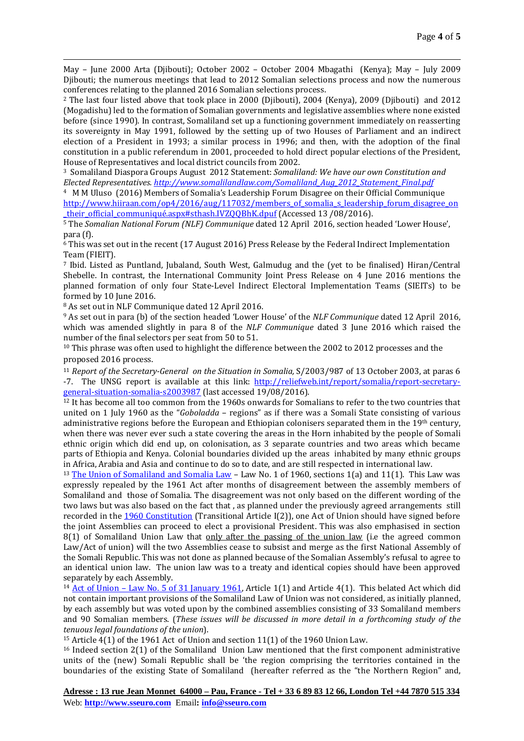May – June 2000 Arta (Djibouti); October 2002 – October 2004 Mbagathi (Kenya); May – July 2009 Djibouti; the numerous meetings that lead to 2012 Somalian selections process and now the numerous conferences relating to the planned 2016 Somalian selections process.

<span id="page-3-1"></span><sup>2</sup> The last four listed above that took place in 2000 (Djibouti), 2004 (Kenya), 2009 (Djibouti) and 2012 (Mogadishu) led to the formation of Somalian governments and legislative assemblies where none existed before (since 1990). In contrast, Somaliland set up a functioning government immediately on reasserting its sovereignty in May 1991, followed by the setting up of two Houses of Parliament and an indirect election of a President in 1993; a similar process in 1996; and then, with the adoption of the final constitution in a public referendum in 2001, proceeded to hold direct popular elections of the President,

<span id="page-3-2"></span><sup>3</sup> Somaliland Diaspora Groups August 2012 Statement: *Somaliland: We have our own Constitution and Elected Representatives. [http://www.somalilandlaw.com/Somaliland\\_Aug\\_2012\\_Statement\\_Final.pdf](http://www.somalilandlaw.com/Somaliland_Aug_2012_Statement_Final.pdf)*

<span id="page-3-3"></span>4 M M Uluso (2016) Members of Somalia's Leadership Forum Disagree on their Official Communique [http://www.hiiraan.com/op4/2016/aug/117032/members\\_of\\_somalia\\_s\\_leadership\\_forum\\_disagree\\_on](http://www.hiiraan.com/op4/2016/aug/117032/members_of_somalia_s_leadership_forum_disagree_on_their_official_communiqué.aspx#sthash.IVZQQBhK.dpuf) [\\_their\\_official\\_communiqué.aspx#sthash.IVZQQBhK.dpuf](http://www.hiiraan.com/op4/2016/aug/117032/members_of_somalia_s_leadership_forum_disagree_on_their_official_communiqué.aspx#sthash.IVZQQBhK.dpuf) (Accessed 13 /08/2016).

<span id="page-3-4"></span><sup>5</sup> The *Somalian National Forum (NLF) Communique* dated 12 April 2016, section headed 'Lower House', para (f).

<sup>6</sup> This was set out in the recent (17 August 2016) Press Release by the Federal Indirect Implementation Team (FIEIT).

<sup>7</sup> Ibid. Listed as Puntland, Jubaland, South West, Galmudug and the (yet to be finalised) Hiran/Central Shebelle. In contrast, the International Community Joint Press Release on 4 June 2016 mentions the planned formation of only four State-Level Indirect Electoral Implementation Teams (SIEITs) to be formed by 10 June 2016.

<sup>8</sup> As set out in NLF Communique dated 12 April 2016.

 $\overline{a}$ 

<sup>9</sup> As set out in para (b) of the section headed 'Lower House' of the *NLF Communique* dated 12 April 2016, which was amended slightly in para 8 of the *NLF Communique* dated 3 June 2016 which raised the number of the final selectors per seat from 50 to 51.

<sup>10</sup> This phrase was often used to highlight the difference between the 2002 to 2012 processes and the proposed 2016 process.

<sup>11</sup> *Report of the Secretary-General on the Situation in Somalia, S/2003/987 of 13 October 2003, at paras 6* -7. The UNSG report is available at this link: [http://reliefweb.int/report/somalia/report-secretary](http://reliefweb.int/report/somalia/report-secretary-general-situation-somalia-s2003987)[general-situation-somalia-s2003987](http://reliefweb.int/report/somalia/report-secretary-general-situation-somalia-s2003987) (last accessed 19/08/2016).

<sup>12</sup> It has become all too common from the 1960s onwards for Somalians to refer to the two countries that united on 1 July 1960 as the "*Goboladda* – regions" as if there was a Somali State consisting of various administrative regions before the European and Ethiopian colonisers separated them in the 19th century, when there was never ever such a state covering the areas in the Horn inhabited by the people of Somali ethnic origin which did end up, on colonisation, as 3 separate countries and two areas which became parts of Ethiopia and Kenya. Colonial boundaries divided up the areas inhabited by many ethnic groups in Africa, Arabia and Asia and continue to do so to date, and are still respected in international law.

<sup>13</sup> [The Union of Somaliland and Somalia Law](http://www.somalilandlaw.com/The_Union_of_Somaliland___Somalia_Law_SL_Gazette1.pdf) – Law No. 1 of 1960, sections 1(a) and 11(1). This Law was expressly repealed by the 1961 Act after months of disagreement between the assembly members of Somaliland and those of Somalia. The disagreement was not only based on the different wording of the two laws but was also based on the fact that , as planned under the previously agreed arrangements still recorded in the [1960 Constitution](http://www.somalilandlaw.com/Somali_Republic_Constitution_1960.htm) (Transitional Article I(2)), one Act of Union should have signed before the joint Assemblies can proceed to elect a provisional President. This was also emphasised in section 8(1) of Somaliland Union Law that only after the passing of the union law (i.e the agreed common Law/Act of union) will the two Assemblies cease to subsist and merge as the first National Assembly of the Somali Republic. This was not done as planned because of the Somalian Assembly's refusal to agree to an identical union law. The union law was to a treaty and identical copies should have been approved separately by each Assembly.

<sup>14</sup> Act of Union – [Law No. 5 of 31 January 1961,](http://www.somalilandlaw.com/Act_of_Union_Law_No._5_of_31__January_1961.pdf) Article 1(1) and Article 4(1). This belated Act which did not contain important provisions of the Somaliland Law of Union was not considered, as initially planned, by each assembly but was voted upon by the combined assemblies consisting of 33 Somaliland members and 90 Somalian members. (*These issues will be discussed in more detail in a forthcoming study of the tenuous legal foundations of the union*).

<span id="page-3-0"></span><sup>15</sup> Article 4(1) of the 1961 Act of Union and section 11(1) of the 1960 Union Law.

<sup>16</sup> Indeed section 2(1) of the Somaliland Union Law mentioned that the first component administrative units of the (new) Somali Republic shall be 'the region comprising the territories contained in the boundaries of the existing State of Somaliland (hereafter referred as the "the Northern Region" and,

**Adresse : 13 rue Jean Monnet 64000 – Pau, France - Tel + 33 6 89 83 12 66, London Tel +44 7870 515 334** Web: **[http://www.sseuro.com](http://www.sseuro.com/)** Email**: [info@sseuro.com](mailto:info@sseuro.com)**